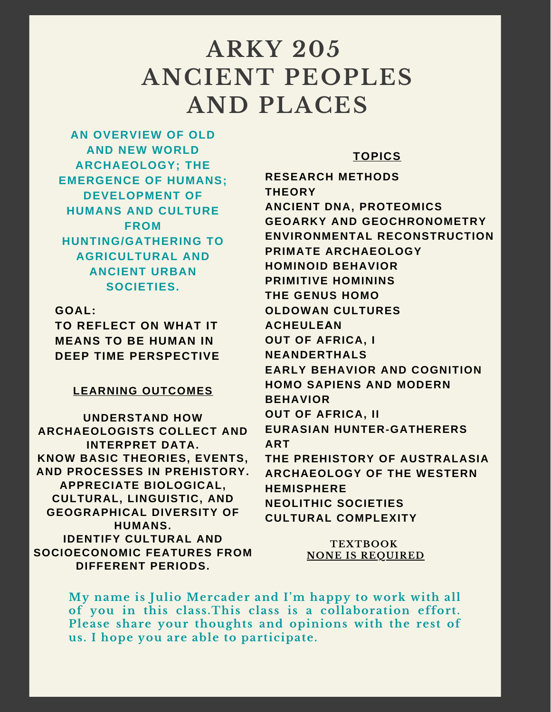# **ARKY 205 ANCIENT PEOPLES AND PLACES**

**AN OVERVIEW OF OLD AND NEW WORLD ARCHAEOLOGY; THE EMERGENCE OF HUMANS; DEVELOPMENT OF HUMANS AND CULTURE FROM HUNTING/GATHERING TO AGRICULTURAL AND ANCIENT URBAN SOCIETIES.**

**GOAL:**

**TO REFLECT ON WHAT IT MEANS TO BE HUMAN IN DEEP TIME PERSPECTIVE**

## **LEARNING OUTCOMES**

**UNDERSTAND HOW ARCHAEOLOGISTS COLLECT AND INTERPRET DATA. KNOW BASIC THEORIES, EVENTS, AND PROCESSES IN PREHISTORY. APPRECIATE BIOLOGICAL, CULTURAL, LINGUISTIC, AND GEOGRAPHICAL DIVERSITY OF HUMANS. IDENTIFY CULTURAL AND SOCIOECONOMIC FEATURES FROM DIFFERENT PERIODS.**

## **TOPICS**

**RESEARCH METHODS THEORY ANCIENT DNA, PROTEOMICS GEOARKY AND GEOCHRONOMETRY ENVIRONMENTAL RECONSTRUCTION PRIMATE ARCHAEOLOGY HOMINOID BEHAVIOR PRIMITIVE HOMININS THE GENUS HOMO OLDOWAN CULTURES ACHEULEAN OUT OF AFRICA, I NEANDERTHALS EARLY BEHAVIOR AND COGNITION HOMO SAPIENS AND MODERN BEHAVIOR OUT OF AFRICA, II EURASIAN HUNTER-GATHERERS ART THE PREHISTORY OF AUSTRALASIA ARCHAEOLOGY OF THE WESTERN HEMISPHERE NEOLITHIC SOCIETIES CULTURAL COMPLEXITY**

> **TEXTBOOK NONE IS REQUIRED**

**My name is Julio Mercader and I'm happy to work with all of you in this class.This class is a collaboration effort. Please share your thoughts and opinions with the rest of us. I hope you are able to participate.**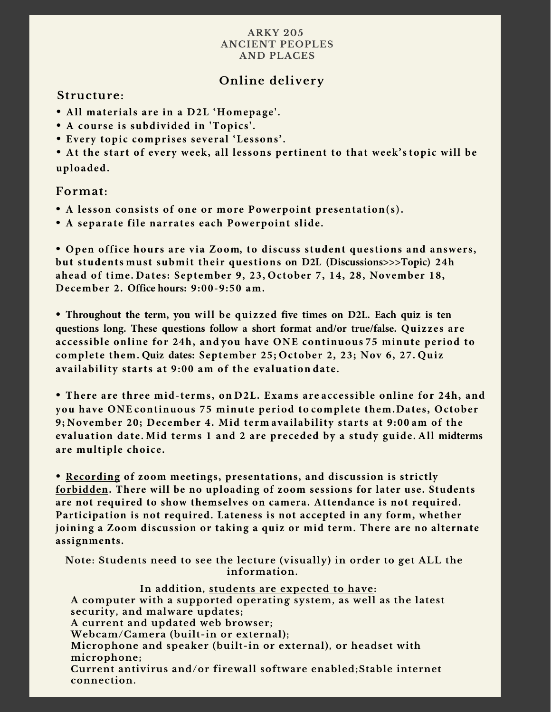#### **ARKY 205 ANCIENT PEOPLES AND PLACES**

## **Online delivery**

## **Structure:**

- **• All materials are in a D2L 'Homepage'.**
- **• A course is subdivided in 'Topics'.**
- **• Every topic comprises several 'Lessons'.**

**• At the start of every week, all lessons pertinent to that week's topic will be uploaded.**

### **Format:**

- **• A lesson consists of one or more Powerpoint presentation(s).**
- **• A separate file narrates each Powerpoint slide.**

**• Open office hours are via Zoom, to discuss student questions and answers, but students must submit their questions on D2L (Discussions>>>Topic) 24h ahead of time. Dates: September 9, 23, October 7, 14, 28, November 18, December 2. Office hours: 9:00-9:50 am.**

**• Throughout the term, you will be quizzed five times on D2L. Each quiz is ten questions long. These questions follow a short format and/or true/false. Quizzes are accessible online for 24h, and you have ONE continuous 75 minute period to complete them. Quiz dates: September 25; October 2, 23; Nov 6, 27. Quiz availability starts at 9:00 am of the evaluation date.**

**• There are three mid-terms, on D2L. Exams are accessible online for 24h, and you have ONE continuous 75 minute period to complete them.Dates, October 9; November 20; December 4. Mid term availability starts at 9:00 am of the evaluation date. Mid terms 1 and 2 are preceded by a study guide. All midterms are multiple choice.**

**• Recording of zoom meetings, presentations, and discussion is strictly forbidden. There will be no uploading of zoom sessions for later use. Students are not required to show themselves on camera. Attendance is not required. Participation is not required. Lateness is not accepted in any form, whether joining a Zoom discussion or taking a quiz or mid term. There are no alternate assignments.** 

**Note: Students need to see the lecture (visually) in order to get ALL the information.** 

#### **In addition, students are expected to have:**

**A computer with a supported operating system, as well as the latest security, and malware updates;**

**A current and updated web browser;**

**Webcam/Camera (built-in or external);**

**Microphone and speaker (built-in or external), or headset with microphone;**

**Current antivirus and/or firewall software enabled;Stable internet connection.**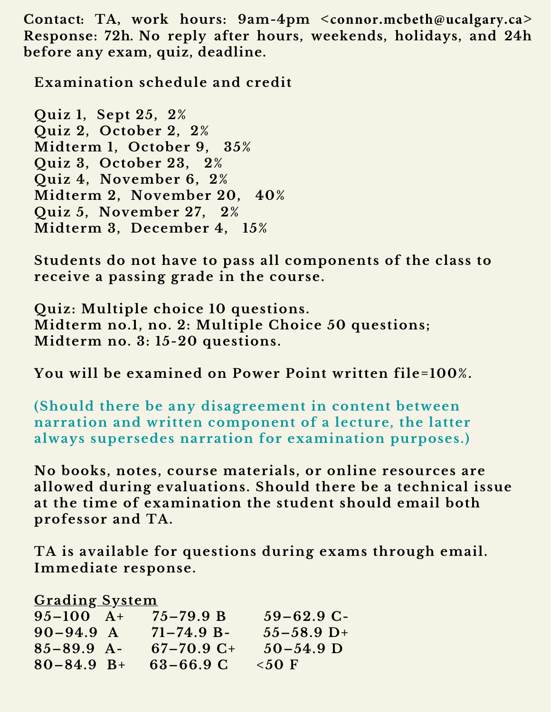**Contact: TA, work hours: 9am-4pm <connor.mcbeth@ucalgary.ca> Response: 72h. No reply after hours, weekends, holidays, and 24h before any exam, quiz, deadline.**

**Examination schedule and credit**

**Quiz 1, Sept 25, 2% Quiz 2, October 2, 2% Midterm 1, October 9, 35% Quiz 3, October 23, 2% Quiz 4, November 6, 2% Midterm 2, November 20, 40% Quiz 5, November 27, 2% Midterm 3, December 4, 15%** 

**Students do not have to pass all components of the class to receive a passing grade in the course.**

**Quiz: Multiple choice 10 questions. Midterm no.1, no. 2: Multiple Choice 50 questions; Midterm no. 3: 15-20 questions.** 

**You will be examined on Power Point written file=100%.** 

**(Should there be any disagreement in content between narration and written component of a lecture, the latter always supersedes narration for examination purposes.)**

**No books, notes, course materials, or online resources are allowed during evaluations. Should there be a technical issue at the time of examination the student should email both professor and TA.** 

**TA is available for questions during exams through email. Immediate response.**

**Grading System**

|                 | $59 - 62.9$ C- |
|-----------------|----------------|
| $71 - 74.9 B -$ | $55 - 58.9$ D+ |
| $67 - 70.9$ C+  | $50 - 54.9$ D  |
| $63 - 66.9$ C   | $50 F$         |
|                 | $75 - 79.9 B$  |